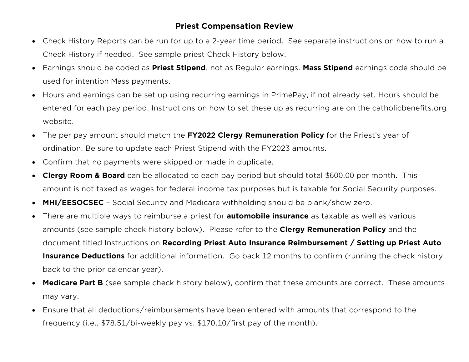## **Priest Compensation Review**

- Check History Reports can be run for up to a 2-year time period. See separate instructions on how to run a Check History if needed. See sample priest Check History below.
- Earnings should be coded as **Priest Stipend**, not as Regular earnings. **Mass Stipend** earnings code should be used for intention Mass payments.
- Hours and earnings can be set up using recurring earnings in PrimePay, if not already set. Hours should be entered for each pay period. Instructions on how to set these up as recurring are on the catholicbenefits.org website.
- The per pay amount should match the **FY2022 Clergy Remuneration Policy** for the Priest's year of ordination. Be sure to update each Priest Stipend with the FY2023 amounts.
- Confirm that no payments were skipped or made in duplicate.
- **Clergy Room & Board** can be allocated to each pay period but should total \$600.00 per month. This amount is not taxed as wages for federal income tax purposes but is taxable for Social Security purposes.
- **MHI/EESOCSEC** Social Security and Medicare withholding should be blank/show zero.
- There are multiple ways to reimburse a priest for **automobile insurance** as taxable as well as various amounts (see sample check history below). Please refer to the **Clergy Remuneration Policy** and the document titled Instructions on **Recording Priest Auto Insurance Reimbursement / Setting up Priest Auto Insurance Deductions** for additional information. Go back 12 months to confirm (running the check history back to the prior calendar year).
- **Medicare Part B** (see sample check history below), confirm that these amounts are correct. These amounts may vary.
- Ensure that all deductions/reimbursements have been entered with amounts that correspond to the frequency (i.e., \$78.51/bi-weekly pay vs. \$170.10/first pay of the month).